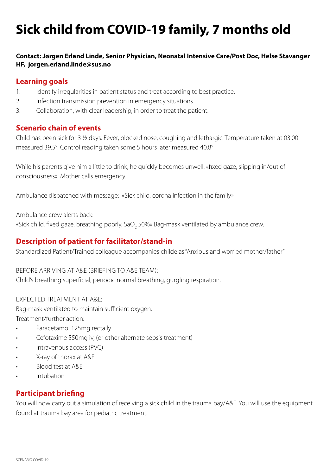# **Sick child from COVID-19 family, 7 months old**

## **Contact: Jørgen Erland Linde, Senior Physician, Neonatal Intensive Care/Post Doc, Helse Stavanger HF, jorgen.erland.linde@sus.no**

# **Learning goals**

- 1. Identify irregularities in patient status and treat according to best practice.
- 2. Infection transmission prevention in emergency situations
- 3. Collaboration, with clear leadership, in order to treat the patient.

## **Scenario chain of events**

Child has been sick for 3 ½ days. Fever, blocked nose, coughing and lethargic. Temperature taken at 03:00 measured 39.5°. Control reading taken some 5 hours later measured 40.8°

While his parents give him a little to drink, he quickly becomes unwell: «fixed gaze, slipping in/out of consciousness». Mother calls emergency.

Ambulance dispatched with message: «Sick child, corona infection in the family»

Ambulance crew alerts back:

«Sick child, fixed gaze, breathing poorly, SaO $_{\rm 2}$  50%» Bag-mask ventilated by ambulance crew.

# **Description of patient for facilitator/stand-in**

Standardized Patient/Trained colleague accompanies childe as "Anxious and worried mother/father"

#### BEFORE ARRIVING AT A&E (BRIEFING TO A&E TEAM):

Child's breathing superficial, periodic normal breathing, gurgling respiration.

#### EXPECTED TREATMENT AT A&E:

Bag-mask ventilated to maintain sufficient oxygen.

Treatment/further action:

- Paracetamol 125mg rectally
- Cefotaxime 550mg iv, (or other alternate sepsis treatment)
- Intravenous access (PVC)
- X-ray of thorax at A&E
- Blood test at A&E
- Intubation

# **Participant briefing**

You will now carry out a simulation of receiving a sick child in the trauma bay/A&E. You will use the equipment found at trauma bay area for pediatric treatment.